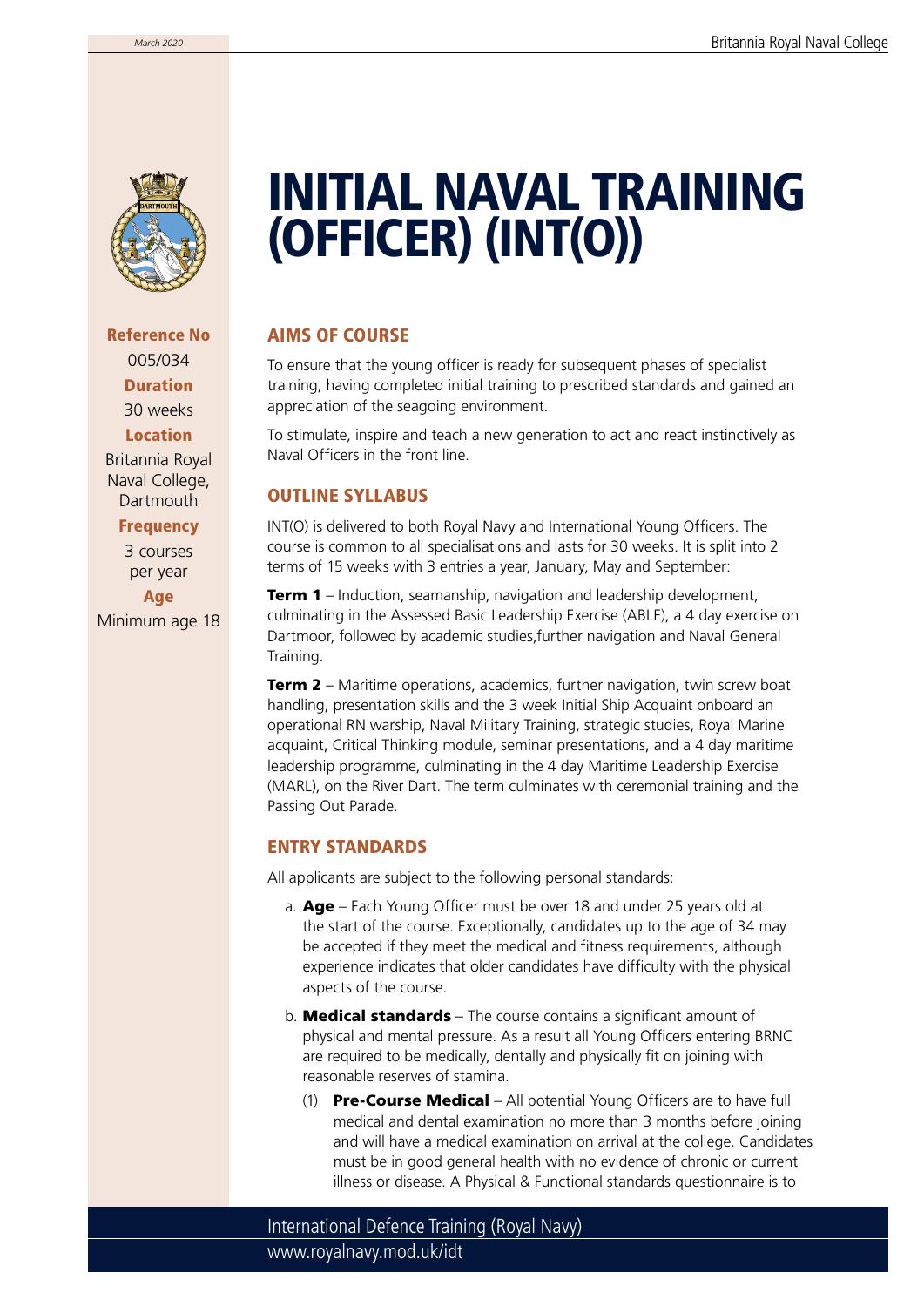

Reference No 005/034 Duration 30 weeks Location Britannia Royal Naval College, **Dartmouth** 

### **Frequency**

3 courses per year Age

Minimum age 18

# INITIAL NAVAL TRAINING (OFFICER) (INT(O))

## AIMS OF COURSE

To ensure that the young officer is ready for subsequent phases of specialist training, having completed initial training to prescribed standards and gained an appreciation of the seagoing environment.

To stimulate, inspire and teach a new generation to act and react instinctively as Naval Officers in the front line.

## OUTLINE SYLLABUS

INT(O) is delivered to both Royal Navy and International Young Officers. The course is common to all specialisations and lasts for 30 weeks. It is split into 2 terms of 15 weeks with 3 entries a year, January, May and September:

**Term 1** – Induction, seamanship, navigation and leadership development, culminating in the Assessed Basic Leadership Exercise (ABLE), a 4 day exercise on Dartmoor, followed by academic studies,further navigation and Naval General Training.

**Term 2** – Maritime operations, academics, further navigation, twin screw boat handling, presentation skills and the 3 week Initial Ship Acquaint onboard an operational RN warship, Naval Military Training, strategic studies, Royal Marine acquaint, Critical Thinking module, seminar presentations, and a 4 day maritime leadership programme, culminating in the 4 day Maritime Leadership Exercise (MARL), on the River Dart. The term culminates with ceremonial training and the Passing Out Parade.

## ENTRY STANDARDS

All applicants are subject to the following personal standards:

- a. Age Each Young Officer must be over 18 and under 25 years old at the start of the course. Exceptionally, candidates up to the age of 34 may be accepted if they meet the medical and fitness requirements, although experience indicates that older candidates have difficulty with the physical aspects of the course.
- b. **Medical standards** The course contains a significant amount of physical and mental pressure. As a result all Young Officers entering BRNC are required to be medically, dentally and physically fit on joining with reasonable reserves of stamina.
	- (1) Pre-Course Medical All potential Young Officers are to have full medical and dental examination no more than 3 months before joining and will have a medical examination on arrival at the college. Candidates must be in good general health with no evidence of chronic or current illness or disease. A Physical & Functional standards questionnaire is to

www.royalnavy.mod.uk/idt International Defence Training (Royal Navy)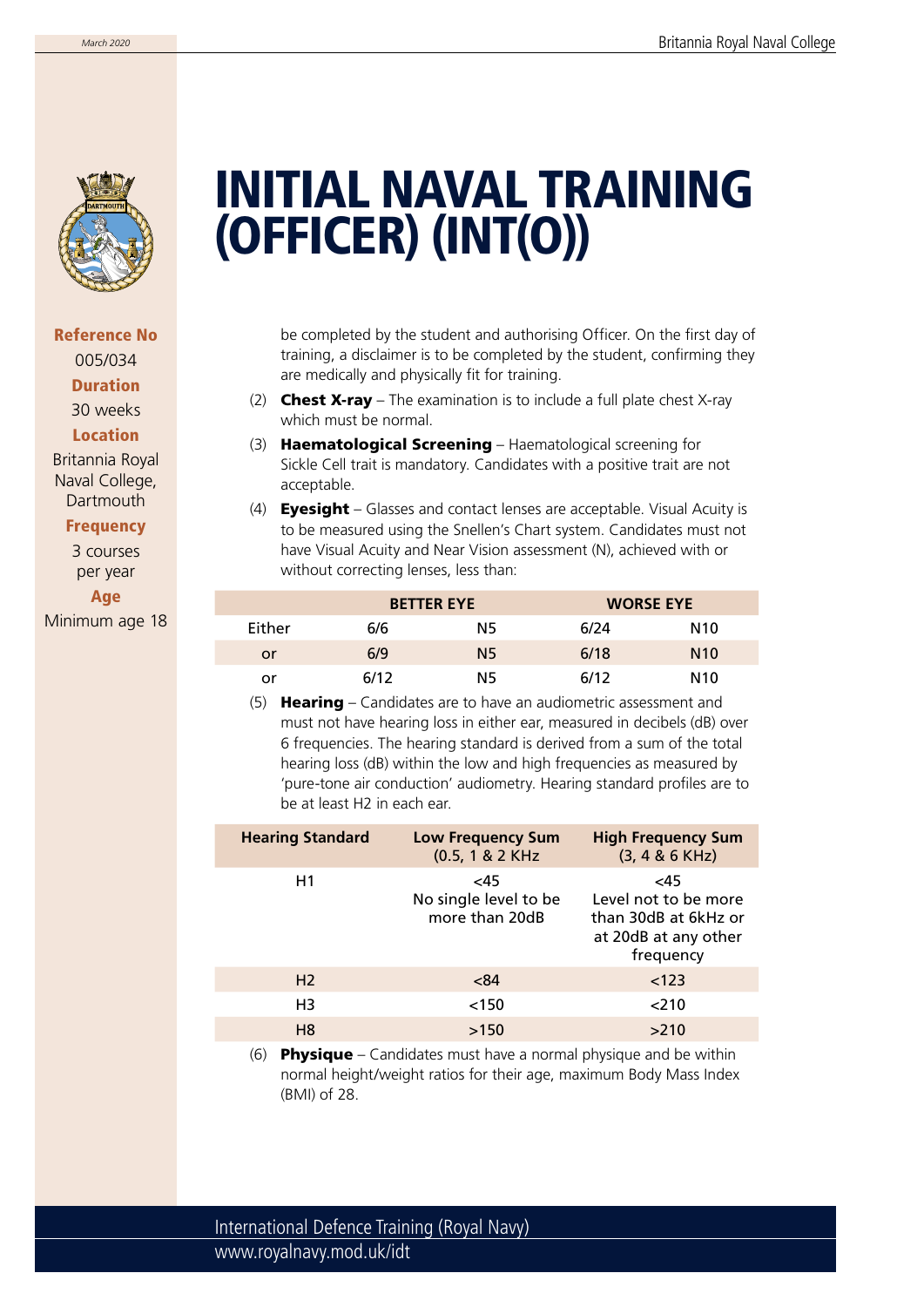

# INITIAL NAVAL TRAINING (OFFICER) (INT(O))

be completed by the student and authorising Officer. On the first day of training, a disclaimer is to be completed by the student, confirming they are medically and physically fit for training.

- (2) **Chest X-ray** The examination is to include a full plate chest X-ray which must be normal.
- (3) Haematological Screening Haematological screening for Sickle Cell trait is mandatory. Candidates with a positive trait are not acceptable.
- (4) **Eyesight** Glasses and contact lenses are acceptable. Visual Acuity is to be measured using the Snellen's Chart system. Candidates must not have Visual Acuity and Near Vision assessment (N), achieved with or without correcting lenses, less than:

|        | <b>BETTER EYE</b> |           | <b>WORSE EYE</b> |                 |
|--------|-------------------|-----------|------------------|-----------------|
| Either | 6/6               | N5        | 6/24             | N <sub>10</sub> |
| or     | 6/9               | <b>N5</b> | 6/18             | N10             |
| or     | 6/12              | N5        | 6/12             | N <sub>10</sub> |

(5) **Hearing** – Candidates are to have an audiometric assessment and must not have hearing loss in either ear, measured in decibels (dB) over 6 frequencies. The hearing standard is derived from a sum of the total hearing loss (dB) within the low and high frequencies as measured by 'pure-tone air conduction' audiometry. Hearing standard profiles are to be at least H2 in each ear.

| <b>Hearing Standard</b> | <b>Low Frequency Sum</b><br>(0.5, 1 & 2 KHz)   | <b>High Frequency Sum</b><br>$(3, 4 & 6$ KHz)                                            |
|-------------------------|------------------------------------------------|------------------------------------------------------------------------------------------|
| H1                      | <45<br>No single level to be<br>more than 20dB | <45<br>Level not to be more<br>than 30dB at 6kHz or<br>at 20dB at any other<br>frequency |
| H <sub>2</sub>          | < 84                                           | < 123                                                                                    |
| H3                      | < 150                                          | 210                                                                                      |
| H <sub>8</sub>          | >150                                           | >210                                                                                     |
|                         |                                                |                                                                                          |

(6) Physique – Candidates must have a normal physique and be within normal height/weight ratios for their age, maximum Body Mass Index (BMI) of 28.

Reference No 005/034 Duration 30 weeks Location Britannia Royal Naval College, **Dartmouth** 

#### Frequency

3 courses per year Age Minimum age 18